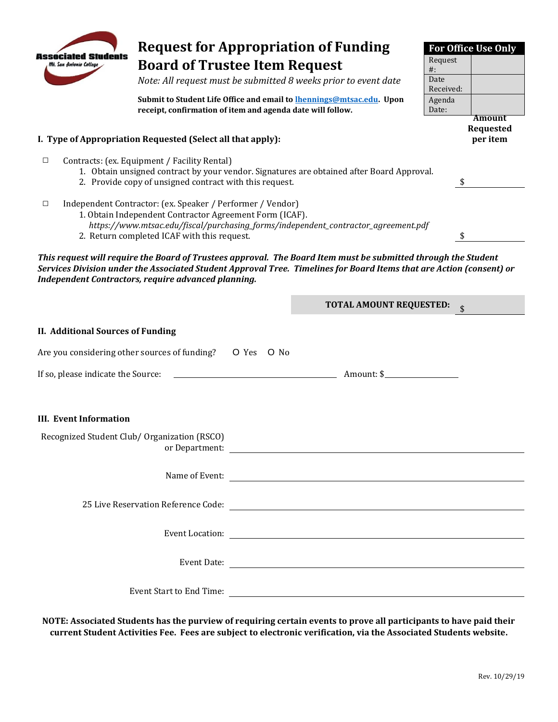

**Request for Appropriation of Funding** 

**Associated Students** 

*Services Division under the Associated Student Approval Tree. Timelines for Board Items that are Action (consent) or Independent Contractors, require advanced planning.* 

|                                                                         | <b>TOTAL AMOUNT REQUESTED:</b> |
|-------------------------------------------------------------------------|--------------------------------|
| <b>II. Additional Sources of Funding</b>                                |                                |
| Are you considering other sources of funding? O Yes O No                |                                |
| If so, please indicate the Source: $\qquad \qquad$ Amount: \$           |                                |
|                                                                         |                                |
| <b>III. Event Information</b>                                           |                                |
| Recognized Student Club/ Organization (RSCO)                            |                                |
|                                                                         |                                |
| 25 Live Reservation Reference Code: 25 Live Reservation Reference Code: |                                |
|                                                                         |                                |
|                                                                         |                                |
|                                                                         | Event Start to End Time:       |

**NOTE: Associated Students has the purview of requiring certain events to prove all participants to have paid their current Student Activities Fee. Fees are subject to electronic verification, via the Associated Students website.** 

**For Office Use Only**